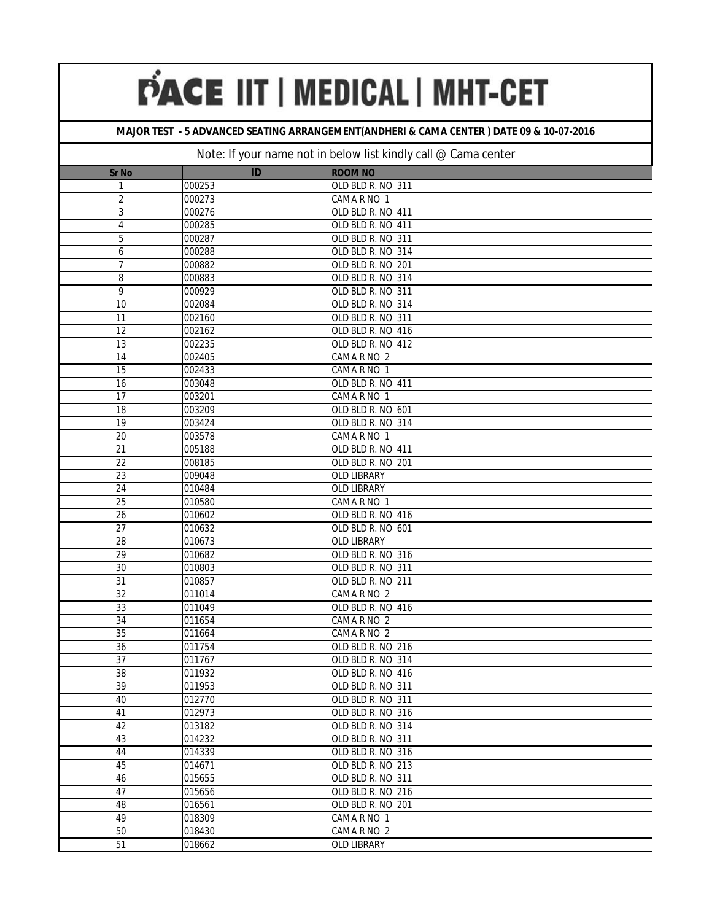## **MAJOR TEST - 5 ADVANCED SEATING ARRANGEMENT(ANDHERI & CAMA CENTER ) DATE 09 & 10-07-2016**

| Sr No           | ID     | <b>ROOM NO</b>     |
|-----------------|--------|--------------------|
| 1               | 000253 | OLD BLD R. NO 311  |
| 2               | 000273 | CAMA R NO 1        |
| 3               | 000276 | OLD BLD R. NO 411  |
| $\sqrt{4}$      | 000285 | OLD BLD R. NO 411  |
| $\overline{5}$  | 000287 | OLD BLD R. NO 311  |
| 6               | 000288 | OLD BLD R. NO 314  |
| $\overline{7}$  | 000882 | OLD BLD R. NO 201  |
| 8               | 000883 | OLD BLD R. NO 314  |
| 9               | 000929 | OLD BLD R. NO 311  |
| 10              | 002084 | OLD BLD R. NO 314  |
| 11              | 002160 | OLD BLD R. NO 311  |
| 12              | 002162 | OLD BLD R. NO 416  |
| 13              | 002235 | OLD BLD R. NO 412  |
| 14              | 002405 | CAMA R NO 2        |
| $\overline{15}$ | 002433 | CAMA R NO 1        |
| 16              | 003048 | OLD BLD R. NO 411  |
| $\overline{17}$ | 003201 | CAMA R NO 1        |
| 18              | 003209 | OLD BLD R. NO 601  |
| 19              | 003424 | OLD BLD R. NO 314  |
| 20              | 003578 | CAMA R NO 1        |
| 21              | 005188 | OLD BLD R. NO 411  |
| 22              | 008185 | OLD BLD R. NO 201  |
| 23              | 009048 | OLD LIBRARY        |
| 24              | 010484 | <b>OLD LIBRARY</b> |
| $\overline{25}$ | 010580 | CAMA R NO 1        |
| 26              | 010602 | OLD BLD R. NO 416  |
| 27              | 010632 | OLD BLD R. NO 601  |
| 28              | 010673 | OLD LIBRARY        |
| 29              | 010682 | OLD BLD R. NO 316  |
| 30              | 010803 | OLD BLD R. NO 311  |
| 31              | 010857 | OLD BLD R. NO 211  |
| 32              | 011014 | CAMA R NO 2        |
| 33              | 011049 | OLD BLD R. NO 416  |
| 34              | 011654 | CAMA R NO 2        |
| $\overline{35}$ | 011664 | CAMA R NO 2        |
| 36              | 011754 | OLD BLD R. NO 216  |
| 37              | 011767 | OLD BLD R. NO 314  |
| 38              | 011932 | OLD BLD R. NO 416  |
| 39              | 011953 | OLD BLD R. NO 311  |
| 40              | 012770 | OLD BLD R. NO 311  |
| 41              | 012973 | OLD BLD R. NO 316  |
| 42              | 013182 | OLD BLD R. NO 314  |
| 43              | 014232 | OLD BLD R. NO 311  |
| 44              | 014339 | OLD BLD R. NO 316  |
| 45              | 014671 | OLD BLD R. NO 213  |
| 46              | 015655 | OLD BLD R. NO 311  |
| 47              | 015656 | OLD BLD R. NO 216  |
| 48              | 016561 | OLD BLD R. NO 201  |
| 49              | 018309 | CAMA R NO 1        |
| 50              | 018430 | CAMA R NO 2        |
| 51              | 018662 | OLD LIBRARY        |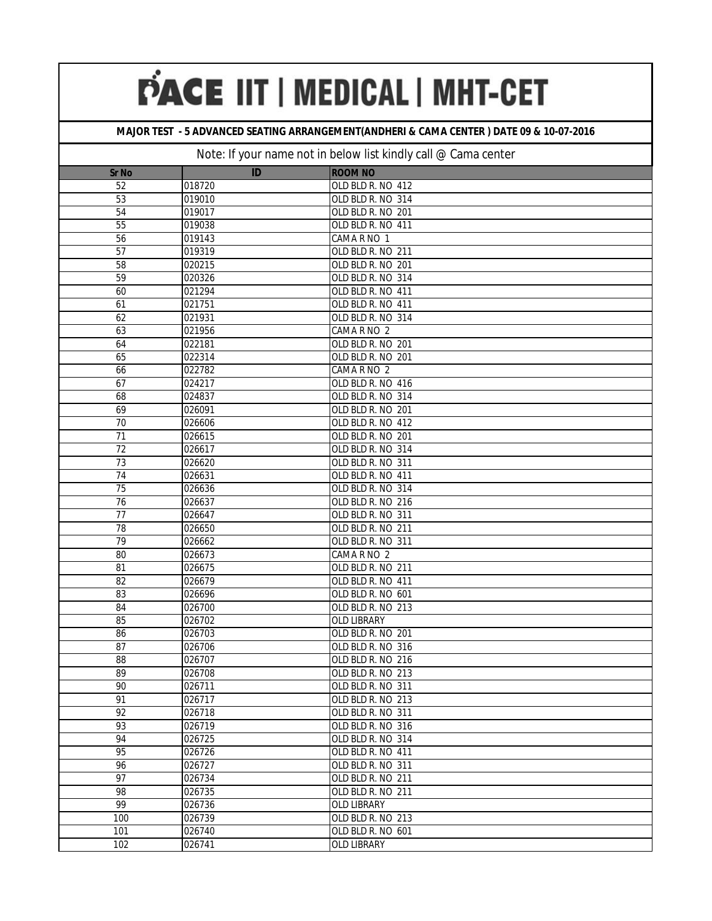## **MAJOR TEST - 5 ADVANCED SEATING ARRANGEMENT(ANDHERI & CAMA CENTER ) DATE 09 & 10-07-2016**

| <b>Sr No</b>    | ID     | <b>ROOM NO</b>     |
|-----------------|--------|--------------------|
| 52              | 018720 | OLD BLD R. NO 412  |
| 53              | 019010 | OLD BLD R. NO 314  |
| 54              | 019017 | OLD BLD R. NO 201  |
| 55              | 019038 | OLD BLD R. NO 411  |
| $\overline{56}$ | 019143 | CAMA R NO 1        |
| 57              | 019319 | OLD BLD R. NO 211  |
| 58              | 020215 | OLD BLD R. NO 201  |
| $\overline{59}$ | 020326 | OLD BLD R. NO 314  |
| 60              | 021294 | OLD BLD R. NO 411  |
| 61              | 021751 | OLD BLD R. NO 411  |
| 62              | 021931 | OLD BLD R. NO 314  |
| 63              | 021956 | CAMA R NO 2        |
| 64              | 022181 | OLD BLD R. NO 201  |
| 65              | 022314 | OLD BLD R. NO 201  |
| 66              | 022782 | CAMA R NO 2        |
| 67              | 024217 | OLD BLD R. NO 416  |
| 68              | 024837 | OLD BLD R. NO 314  |
| 69              | 026091 | OLD BLD R. NO 201  |
| 70              | 026606 | OLD BLD R. NO 412  |
| 71              | 026615 | OLD BLD R. NO 201  |
| 72              | 026617 | OLD BLD R. NO 314  |
| 73              | 026620 | OLD BLD R. NO 311  |
| 74              | 026631 | OLD BLD R. NO 411  |
| 75              | 026636 | OLD BLD R. NO 314  |
| $\overline{76}$ | 026637 | OLD BLD R. NO 216  |
| $\overline{77}$ | 026647 | OLD BLD R. NO 311  |
| 78              | 026650 | OLD BLD R. NO 211  |
| 79              | 026662 | OLD BLD R. NO 311  |
| 80              | 026673 | CAMA R NO 2        |
| 81              | 026675 | OLD BLD R. NO 211  |
| 82              | 026679 | OLD BLD R. NO 411  |
| 83              | 026696 | OLD BLD R. NO 601  |
| 84              | 026700 | OLD BLD R. NO 213  |
| 85              | 026702 | OLD LIBRARY        |
| 86              | 026703 | OLD BLD R. NO 201  |
| 87              | 026706 | OLD BLD R. NO 316  |
| 88              | 026707 | OLD BLD R. NO 216  |
| 89              | 026708 | OLD BLD R. NO 213  |
| 90              | 026711 | OLD BLD R. NO 311  |
| 91              | 026717 | OLD BLD R. NO 213  |
| 92              | 026718 | OLD BLD R. NO 311  |
| 93              | 026719 | OLD BLD R. NO 316  |
| 94              | 026725 | OLD BLD R. NO 314  |
| 95              | 026726 | OLD BLD R. NO 411  |
| 96              | 026727 | OLD BLD R. NO 311  |
| 97              | 026734 | OLD BLD R. NO 211  |
| 98              | 026735 | OLD BLD R. NO 211  |
| 99              | 026736 | OLD LIBRARY        |
| 100             | 026739 | OLD BLD R. NO 213  |
| 101             | 026740 | OLD BLD R. NO 601  |
| 102             | 026741 | <b>OLD LIBRARY</b> |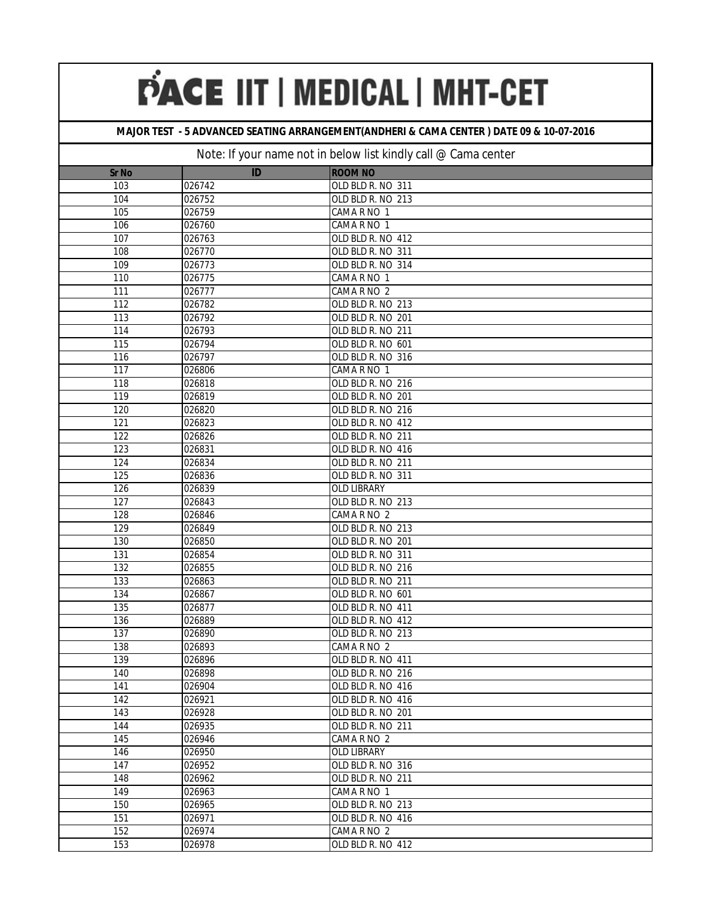## **MAJOR TEST - 5 ADVANCED SEATING ARRANGEMENT(ANDHERI & CAMA CENTER ) DATE 09 & 10-07-2016**

| <b>Sr No</b>     | ID               | <b>ROOM NO</b>                   |
|------------------|------------------|----------------------------------|
| 103              | 026742           | OLD BLD R. NO 311                |
| 104              | 026752           | OLD BLD R. NO 213                |
| 105              | 026759           | CAMA R NO 1                      |
| 106              | 026760           | CAMA R NO 1                      |
| 107              | 026763           | OLD BLD R. NO 412                |
| 108              | 026770           | OLD BLD R. NO 311                |
| 109              | 026773           | OLD BLD R. NO 314                |
| 110              | 026775           | CAMA R NO 1                      |
| 111              | 026777           | CAMA R NO 2                      |
| 112              | 026782           | OLD BLD R. NO 213                |
| 113              | 026792           | OLD BLD R. NO 201                |
| 114              | 026793           | OLD BLD R. NO 211                |
| 115              | 026794           | OLD BLD R. NO 601                |
| 116              | 026797           | OLD BLD R. NO 316                |
| 117              | 026806           | CAMA R NO 1                      |
| 118              | 026818           | OLD BLD R. NO 216                |
| 119              | 026819           | OLD BLD R. NO 201                |
| 120              | 026820           | OLD BLD R. NO 216                |
| 121              | 026823           | OLD BLD R. NO 412                |
| 122              | 026826           | OLD BLD R. NO 211                |
| 123              | 026831           | OLD BLD R. NO 416                |
| 124              | 026834           | OLD BLD R. NO 211                |
| 125              | 026836           | OLD BLD R. NO 311                |
| 126              | 026839           | <b>OLD LIBRARY</b>               |
| $\overline{127}$ | 026843           | OLD BLD R. NO 213                |
| 128              | 026846           | CAMA R NO 2                      |
| 129              | 026849           | OLD BLD R. NO 213                |
| 130              | 026850           | OLD BLD R. NO 201                |
| 131              | 026854           | OLD BLD R. NO 311                |
| 132              | 026855           | OLD BLD R. NO 216                |
| 133              | 026863           | OLD BLD R. NO 211                |
| 134              | 026867           | OLD BLD R. NO 601                |
| 135              | 026877           | OLD BLD R. NO 411                |
| 136              | 026889           | OLD BLD R. NO 412                |
| 137              | 026890           | OLD BLD R. NO 213                |
| 138              | 026893           | CAMA R NO 2                      |
| 139              | 026896           | OLD BLD R. NO 411                |
| 140              | 026898           | OLD BLD R. NO 216                |
| $\overline{141}$ | 026904           | OLD BLD R. NO 416                |
| 142              | 026921           | OLD BLD R. NO 416                |
| 143              | 026928           | OLD BLD R. NO 201                |
| 144              | 026935           | OLD BLD R. NO 211                |
| 145              | 026946           | CAMA R NO 2                      |
| 146              | 026950           | <b>OLD LIBRARY</b>               |
| 147              | 026952           | OLD BLD R. NO 316                |
| 148              | 026962           | OLD BLD R. NO 211                |
| 149              | 026963           | CAMA R NO 1<br>OLD BLD R. NO 213 |
| 150<br>151       | 026965<br>026971 | OLD BLD R. NO 416                |
| 152              | 026974           | CAMA R NO 2                      |
|                  |                  |                                  |
| 153              | 026978           | OLD BLD R. NO 412                |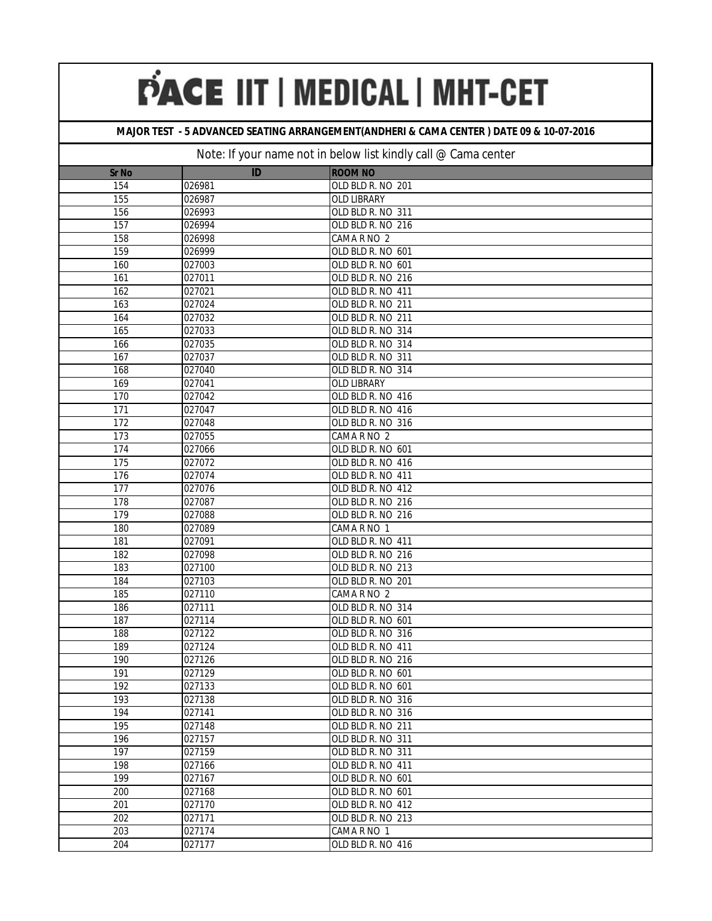### **MAJOR TEST - 5 ADVANCED SEATING ARRANGEMENT(ANDHERI & CAMA CENTER ) DATE 09 & 10-07-2016**

| <b>Sr No</b>     | ID     | <b>ROOM NO</b>    |
|------------------|--------|-------------------|
| 154              | 026981 | OLD BLD R. NO 201 |
| 155              | 026987 | OLD LIBRARY       |
| 156              | 026993 | OLD BLD R. NO 311 |
| 157              | 026994 | OLD BLD R. NO 216 |
| 158              | 026998 | CAMA R NO 2       |
| 159              | 026999 | OLD BLD R. NO 601 |
| 160              | 027003 | OLD BLD R. NO 601 |
| 161              | 027011 | OLD BLD R. NO 216 |
| 162              | 027021 | OLD BLD R. NO 411 |
| 163              | 027024 | OLD BLD R. NO 211 |
| 164              | 027032 | OLD BLD R. NO 211 |
| 165              | 027033 | OLD BLD R. NO 314 |
| 166              | 027035 | OLD BLD R. NO 314 |
| 167              | 027037 | OLD BLD R. NO 311 |
| 168              | 027040 | OLD BLD R. NO 314 |
| 169              | 027041 | OLD LIBRARY       |
| 170              | 027042 | OLD BLD R. NO 416 |
| 171              | 027047 | OLD BLD R. NO 416 |
| 172              | 027048 | OLD BLD R. NO 316 |
| 173              | 027055 | CAMA R NO 2       |
| 174              | 027066 | OLD BLD R. NO 601 |
| 175              | 027072 | OLD BLD R. NO 416 |
| 176              | 027074 | OLD BLD R. NO 411 |
| 177              | 027076 | OLD BLD R. NO 412 |
| 178              | 027087 | OLD BLD R. NO 216 |
| 179              | 027088 | OLD BLD R. NO 216 |
| 180              | 027089 | CAMA R NO 1       |
| 181              | 027091 | OLD BLD R. NO 411 |
| 182              | 027098 | OLD BLD R. NO 216 |
| 183              | 027100 | OLD BLD R. NO 213 |
| 184              | 027103 | OLD BLD R. NO 201 |
| 185              | 027110 | CAMA R NO 2       |
| 186              | 027111 | OLD BLD R. NO 314 |
| 187              | 027114 | OLD BLD R. NO 601 |
| 188              | 027122 | OLD BLD R. NO 316 |
| 189              | 027124 | OLD BLD R. NO 411 |
| 190              | 027126 | OLD BLD R. NO 216 |
| 191              | 027129 | OLD BLD R. NO 601 |
| 192.             | 027133 | OLD BLD R. NO 601 |
| 193              | 027138 | OLD BLD R. NO 316 |
| 194              | 027141 | OLD BLD R. NO 316 |
| 195              | 027148 | OLD BLD R. NO 211 |
| 196              | 027157 | OLD BLD R. NO 311 |
| 197              | 027159 | OLD BLD R. NO 311 |
| 198              | 027166 | OLD BLD R. NO 411 |
| 199              | 027167 | OLD BLD R. NO 601 |
| 200              | 027168 | OLD BLD R. NO 601 |
| 201              | 027170 | OLD BLD R. NO 412 |
| $\overline{202}$ | 027171 | OLD BLD R. NO 213 |
| $\overline{203}$ | 027174 | CAMA R NO 1       |
| 204              | 027177 | OLD BLD R. NO 416 |
|                  |        |                   |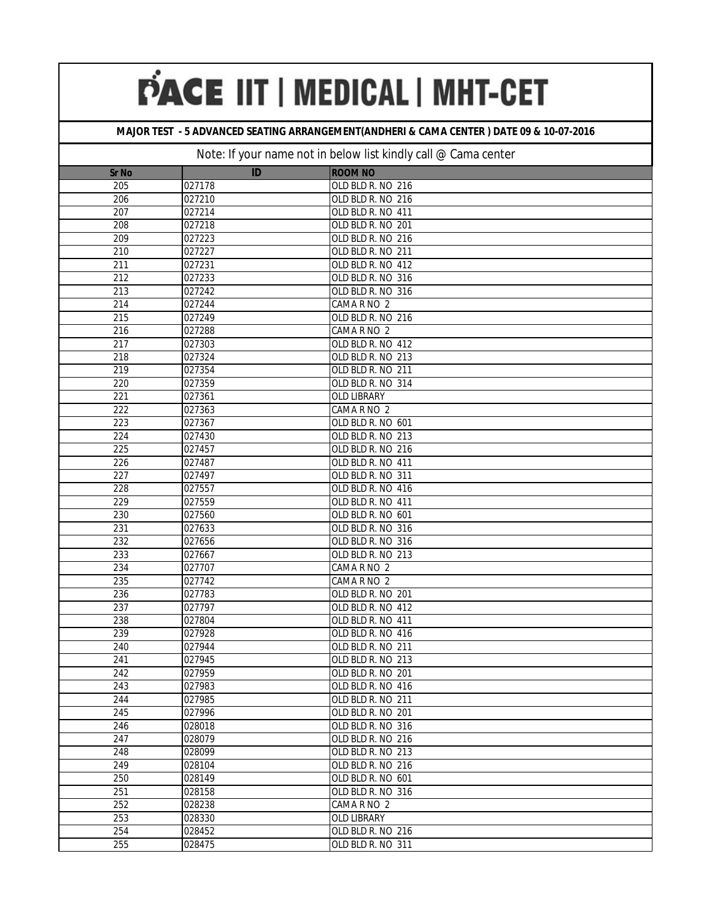## **MAJOR TEST - 5 ADVANCED SEATING ARRANGEMENT(ANDHERI & CAMA CENTER ) DATE 09 & 10-07-2016**

| <b>Sr No</b>     | ID     | <b>ROOM NO</b>    |
|------------------|--------|-------------------|
| 205              | 027178 | OLD BLD R. NO 216 |
| 206              | 027210 | OLD BLD R. NO 216 |
| 207              | 027214 | OLD BLD R. NO 411 |
| 208              | 027218 | OLD BLD R. NO 201 |
| 209              | 027223 | OLD BLD R. NO 216 |
| 210              | 027227 | OLD BLD R. NO 211 |
| 211              | 027231 | OLD BLD R. NO 412 |
| 212              | 027233 | OLD BLD R. NO 316 |
| 213              | 027242 | OLD BLD R. NO 316 |
| 214              | 027244 | CAMA R NO 2       |
| 215              | 027249 | OLD BLD R. NO 216 |
| 216              | 027288 | CAMA R NO 2       |
| 217              | 027303 | OLD BLD R. NO 412 |
| 218              | 027324 | OLD BLD R. NO 213 |
| $\overline{219}$ | 027354 | OLD BLD R. NO 211 |
| 220              | 027359 | OLD BLD R. NO 314 |
| 221              | 027361 | OLD LIBRARY       |
| 222              | 027363 | CAMA R NO 2       |
| 223              | 027367 | OLD BLD R. NO 601 |
| 224              | 027430 | OLD BLD R. NO 213 |
| 225              | 027457 | OLD BLD R. NO 216 |
| 226              | 027487 | OLD BLD R. NO 411 |
| 227              | 027497 | OLD BLD R. NO 311 |
| 228              | 027557 | OLD BLD R. NO 416 |
| 229              | 027559 | OLD BLD R. NO 411 |
| 230              | 027560 | OLD BLD R. NO 601 |
| 231              | 027633 | OLD BLD R. NO 316 |
| 232              | 027656 | OLD BLD R. NO 316 |
| 233              | 027667 | OLD BLD R. NO 213 |
| 234              | 027707 | CAMA R NO 2       |
| 235              | 027742 | CAMA R NO 2       |
| 236              | 027783 | OLD BLD R. NO 201 |
| 237              | 027797 | OLD BLD R. NO 412 |
| 238              | 027804 | OLD BLD R. NO 411 |
| 239              | 027928 | OLD BLD R. NO 416 |
| 240              | 027944 | OLD BLD R. NO 211 |
| 241              | 027945 | OLD BLD R. NO 213 |
| 242              | 027959 | OLD BLD R. NO 201 |
| 243              | 027983 | OLD BLD R. NO 416 |
| 244              | 027985 | OLD BLD R. NO 211 |
| 245              | 027996 | OLD BLD R. NO 201 |
| 246              | 028018 | OLD BLD R. NO 316 |
| 247              | 028079 | OLD BLD R. NO 216 |
| 248              | 028099 | OLD BLD R. NO 213 |
| 249              | 028104 | OLD BLD R. NO 216 |
| 250              | 028149 | OLD BLD R. NO 601 |
| 251              | 028158 | OLD BLD R. NO 316 |
| 252              | 028238 | CAMA R NO 2       |
| 253              | 028330 | OLD LIBRARY       |
| 254              | 028452 | OLD BLD R. NO 216 |
| 255              | 028475 | OLD BLD R. NO 311 |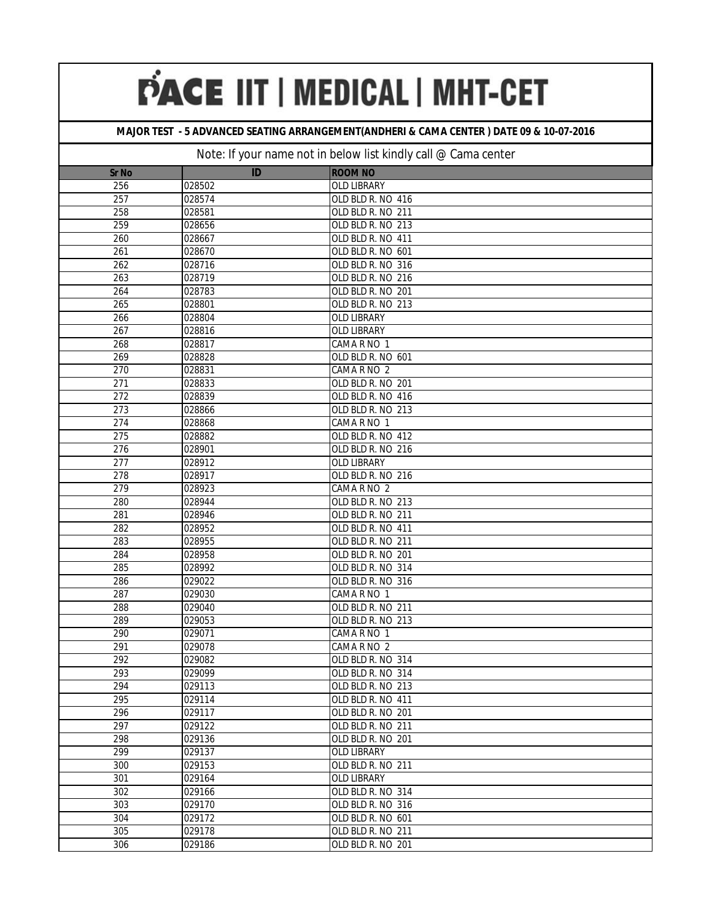## **MAJOR TEST - 5 ADVANCED SEATING ARRANGEMENT(ANDHERI & CAMA CENTER ) DATE 09 & 10-07-2016**

| <b>Sr No</b>     | ID               | <b>ROOM NO</b>                         |
|------------------|------------------|----------------------------------------|
| 256              | 028502           | <b>OLD LIBRARY</b>                     |
| 257              | 028574           | OLD BLD R. NO 416                      |
| 258              | 028581           | OLD BLD R. NO 211                      |
| 259              | 028656           | OLD BLD R. NO 213                      |
| 260              | 028667           | OLD BLD R. NO 411                      |
| 261              | 028670           | OLD BLD R. NO 601                      |
| 262              | 028716           | OLD BLD R. NO 316                      |
| 263              | 028719           | OLD BLD R. NO 216                      |
| 264              | 028783           | OLD BLD R. NO 201                      |
| 265              | 028801           | OLD BLD R. NO 213                      |
| 266              | 028804           | <b>OLD LIBRARY</b>                     |
| 267              | 028816           | <b>OLD LIBRARY</b>                     |
| 268              | 028817           | CAMA R NO 1                            |
| 269              | 028828           | OLD BLD R. NO 601                      |
| $\overline{270}$ | 028831           | CAMA R NO 2                            |
| 271              | 028833           | OLD BLD R. NO 201                      |
| $\overline{272}$ | 028839           | OLD BLD R. NO 416                      |
| 273              | 028866           | OLD BLD R. NO 213                      |
| 274              | 028868           | CAMA R NO 1                            |
| $\overline{275}$ | 028882           | OLD BLD R. NO 412                      |
| 276              | 028901           | OLD BLD R. NO 216                      |
| 277              | 028912           | OLD LIBRARY                            |
| 278              | 028917           | OLD BLD R. NO 216                      |
| 279              | 028923           | CAMA R NO 2                            |
| 280              | 028944           | OLD BLD R. NO 213                      |
| 281              | 028946           | OLD BLD R. NO 211                      |
| 282              | 028952           | OLD BLD R. NO 411                      |
| 283              | 028955           | OLD BLD R. NO 211                      |
| 284              | 028958           | OLD BLD R. NO 201                      |
| 285              | 028992           | OLD BLD R. NO 314                      |
| 286              | 029022           | OLD BLD R. NO 316                      |
| 287              | 029030           | CAMA R NO 1                            |
| 288              | 029040           | OLD BLD R. NO 211                      |
| 289              | 029053           | OLD BLD R. NO 213                      |
| 290              | 029071           | CAMA R NO 1                            |
| 291              | 029078           | CAMA R NO 2                            |
| 292              | 029082           | OLD BLD R. NO 314                      |
| 293              | 029099           | OLD BLD R. NO 314                      |
| 294              | 029113           | OLD BLD R. NO 213                      |
| 295              | 029114           | OLD BLD R. NO 411                      |
| 296<br>297       | 029117           | OLD BLD R. NO 201<br>OLD BLD R. NO 211 |
| 298              | 029122<br>029136 | OLD BLD R. NO 201                      |
| 299              | 029137           | <b>OLD LIBRARY</b>                     |
| 300              | 029153           | OLD BLD R. NO 211                      |
| 301              | 029164           | <b>OLD LIBRARY</b>                     |
| 302              | 029166           | OLD BLD R. NO 314                      |
| 303              | 029170           | OLD BLD R. NO 316                      |
| 304              | 029172           | OLD BLD R. NO 601                      |
| $\overline{305}$ | 029178           | OLD BLD R. NO 211                      |
| 306              | 029186           | OLD BLD R. NO 201                      |
|                  |                  |                                        |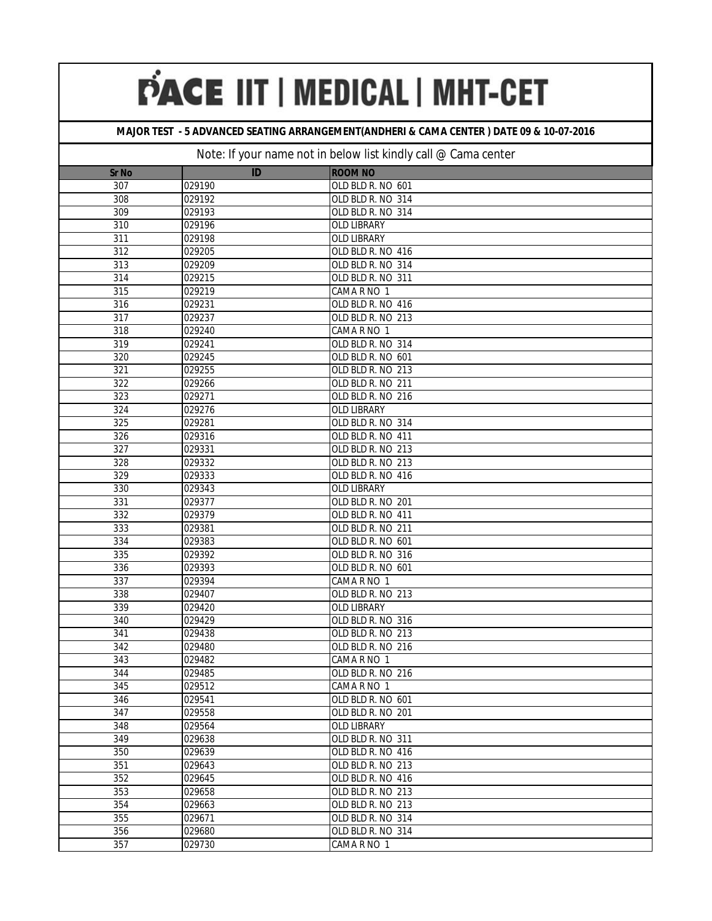## **MAJOR TEST - 5 ADVANCED SEATING ARRANGEMENT(ANDHERI & CAMA CENTER ) DATE 09 & 10-07-2016**

| <b>Sr No</b>     | ID     | <b>ROOM NO</b>    |
|------------------|--------|-------------------|
| 307              | 029190 | OLD BLD R. NO 601 |
| 308              | 029192 | OLD BLD R. NO 314 |
| 309              | 029193 | OLD BLD R. NO 314 |
| 310              | 029196 | OLD LIBRARY       |
| $\overline{311}$ | 029198 | OLD LIBRARY       |
| 312              | 029205 | OLD BLD R. NO 416 |
| 313              | 029209 | OLD BLD R. NO 314 |
| 314              | 029215 | OLD BLD R. NO 311 |
| 315              | 029219 | CAMA R NO 1       |
| 316              | 029231 | OLD BLD R. NO 416 |
| 317              | 029237 | OLD BLD R. NO 213 |
| 318              | 029240 | CAMA R NO 1       |
| 319              | 029241 | OLD BLD R. NO 314 |
| 320              | 029245 | OLD BLD R. NO 601 |
| 321              | 029255 | OLD BLD R. NO 213 |
| 322              | 029266 | OLD BLD R. NO 211 |
| 323              | 029271 | OLD BLD R. NO 216 |
| 324              | 029276 | OLD LIBRARY       |
| 325              | 029281 | OLD BLD R. NO 314 |
| 326              | 029316 | OLD BLD R. NO 411 |
| 327              | 029331 | OLD BLD R. NO 213 |
| 328              | 029332 | OLD BLD R. NO 213 |
| 329              | 029333 | OLD BLD R. NO 416 |
| 330              | 029343 | OLD LIBRARY       |
| 331              | 029377 | OLD BLD R. NO 201 |
| 332              | 029379 | OLD BLD R. NO 411 |
| 333              | 029381 | OLD BLD R. NO 211 |
| 334              | 029383 | OLD BLD R. NO 601 |
| 335              | 029392 | OLD BLD R. NO 316 |
| 336              | 029393 | OLD BLD R. NO 601 |
| 337              | 029394 | CAMA R NO 1       |
| 338              | 029407 | OLD BLD R. NO 213 |
| 339              | 029420 | OLD LIBRARY       |
| 340              | 029429 | OLD BLD R. NO 316 |
| 341              | 029438 | OLD BLD R. NO 213 |
| 342              | 029480 | OLD BLD R. NO 216 |
| 343              | 029482 | CAMA R NO 1       |
| 344              | 029485 | OLD BLD R. NO 216 |
| 345              | 029512 | CAMA R NO 1       |
| 346              | 029541 | OLD BLD R. NO 601 |
| 347              | 029558 | OLD BLD R. NO 201 |
| 348              | 029564 | OLD LIBRARY       |
| 349              | 029638 | OLD BLD R. NO 311 |
| 350              | 029639 | OLD BLD R. NO 416 |
| 351              | 029643 | OLD BLD R. NO 213 |
| 352              | 029645 | OLD BLD R. NO 416 |
| 353              | 029658 | OLD BLD R. NO 213 |
| 354              | 029663 | OLD BLD R. NO 213 |
| 355              | 029671 | OLD BLD R. NO 314 |
| 356              | 029680 | OLD BLD R. NO 314 |
| 357              | 029730 | CAMA R NO 1       |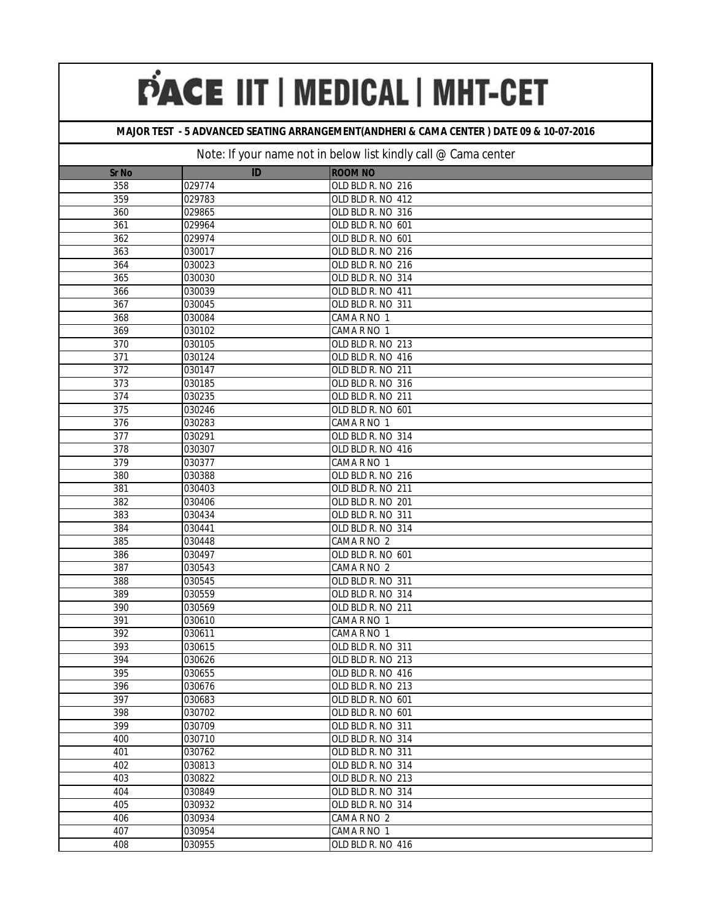## **MAJOR TEST - 5 ADVANCED SEATING ARRANGEMENT(ANDHERI & CAMA CENTER ) DATE 09 & 10-07-2016**

| <b>Sr No</b>     | ID     | <b>ROOM NO</b>    |
|------------------|--------|-------------------|
| 358              | 029774 | OLD BLD R. NO 216 |
| 359              | 029783 | OLD BLD R. NO 412 |
| 360              | 029865 | OLD BLD R. NO 316 |
| 361              | 029964 | OLD BLD R. NO 601 |
| 362              | 029974 | OLD BLD R. NO 601 |
| 363              | 030017 | OLD BLD R. NO 216 |
| 364              | 030023 | OLD BLD R. NO 216 |
| 365              | 030030 | OLD BLD R. NO 314 |
| 366              | 030039 | OLD BLD R. NO 411 |
| 367              | 030045 | OLD BLD R. NO 311 |
| 368              | 030084 | CAMA R NO 1       |
| 369              | 030102 | CAMA R NO 1       |
| 370              | 030105 | OLD BLD R. NO 213 |
| 371              | 030124 | OLD BLD R. NO 416 |
| $\overline{372}$ | 030147 | OLD BLD R. NO 211 |
| 373              | 030185 | OLD BLD R. NO 316 |
| 374              | 030235 | OLD BLD R. NO 211 |
| 375              | 030246 | OLD BLD R. NO 601 |
| 376              | 030283 | CAMA R NO 1       |
| $\overline{377}$ | 030291 | OLD BLD R. NO 314 |
| 378              | 030307 | OLD BLD R. NO 416 |
| 379              | 030377 | CAMA R NO 1       |
| 380              | 030388 | OLD BLD R. NO 216 |
| 381              | 030403 | OLD BLD R. NO 211 |
| 382              | 030406 | OLD BLD R. NO 201 |
| 383              | 030434 | OLD BLD R. NO 311 |
| 384              | 030441 | OLD BLD R. NO 314 |
| 385              | 030448 | CAMA R NO 2       |
| 386              | 030497 | OLD BLD R. NO 601 |
| 387              | 030543 | CAMA R NO 2       |
| 388              | 030545 | OLD BLD R. NO 311 |
| 389              | 030559 | OLD BLD R. NO 314 |
| 390              | 030569 | OLD BLD R. NO 211 |
| 391              | 030610 | CAMA R NO 1       |
| 392              | 030611 | CAMA R NO 1       |
| 393              | 030615 | OLD BLD R. NO 311 |
| 394              | 030626 | OLD BLD R. NO 213 |
| 395              | 030655 | OLD BLD R. NO 416 |
| 396              | 030676 | OLD BLD R. NO 213 |
| 397              | 030683 | OLD BLD R. NO 601 |
| 398              | 030702 | OLD BLD R. NO 601 |
| 399              | 030709 | OLD BLD R. NO 311 |
| 400              | 030710 | OLD BLD R. NO 314 |
| 401              | 030762 | OLD BLD R. NO 311 |
| 402              | 030813 | OLD BLD R. NO 314 |
| 403              | 030822 | OLD BLD R. NO 213 |
| 404              | 030849 | OLD BLD R. NO 314 |
| 405              | 030932 | OLD BLD R. NO 314 |
| 406              | 030934 | CAMA R NO 2       |
| 407              | 030954 | CAMA R NO 1       |
| 408              | 030955 | OLD BLD R. NO 416 |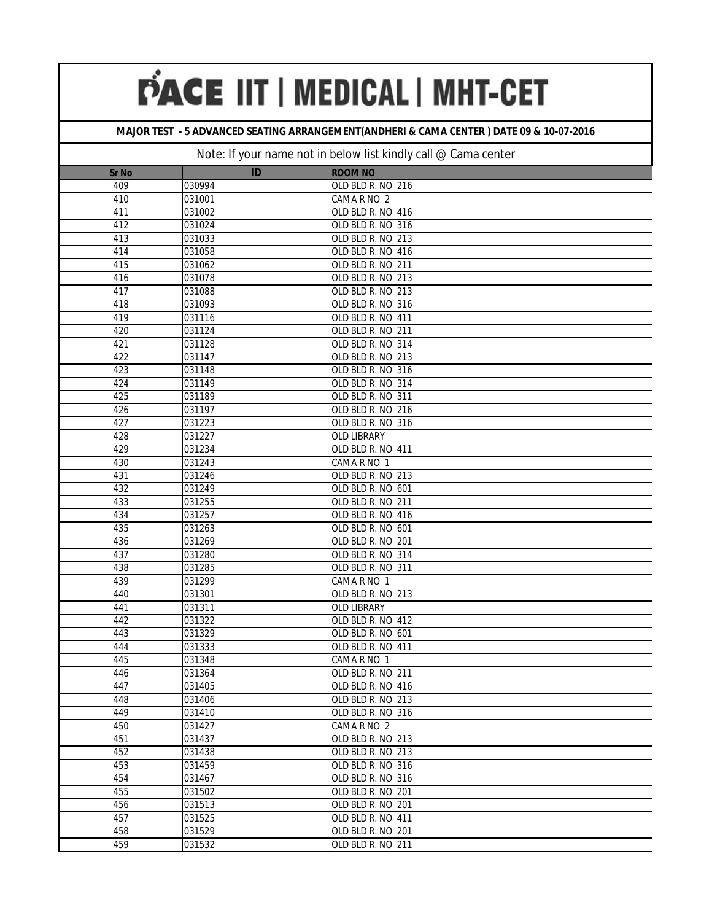### **MAJOR TEST - 5 ADVANCED SEATING ARRANGEMENT(ANDHERI & CAMA CENTER ) DATE 09 & 10-07-2016**

| <b>Sr No</b> | ID     | <b>ROOM NO</b>    |
|--------------|--------|-------------------|
| 409          | 030994 | OLD BLD R. NO 216 |
| 410          | 031001 | CAMA R NO 2       |
| 411          | 031002 | OLD BLD R. NO 416 |
| 412          | 031024 | OLD BLD R. NO 316 |
| 413          | 031033 | OLD BLD R. NO 213 |
| 414          | 031058 | OLD BLD R. NO 416 |
| 415          | 031062 | OLD BLD R. NO 211 |
| 416          | 031078 | OLD BLD R. NO 213 |
| 417          | 031088 | OLD BLD R. NO 213 |
| 418          | 031093 | OLD BLD R. NO 316 |
| 419          | 031116 | OLD BLD R. NO 411 |
| 420          | 031124 | OLD BLD R. NO 211 |
| 421          | 031128 | OLD BLD R. NO 314 |
| 422          | 031147 | OLD BLD R. NO 213 |
| 423          | 031148 | OLD BLD R. NO 316 |
| 424          | 031149 | OLD BLD R. NO 314 |
| 425          | 031189 | OLD BLD R. NO 311 |
| 426          | 031197 | OLD BLD R. NO 216 |
| 427          | 031223 | OLD BLD R. NO 316 |
| 428          | 031227 | OLD LIBRARY       |
| 429          | 031234 | OLD BLD R. NO 411 |
| 430          | 031243 | CAMA R NO 1       |
| 431          | 031246 | OLD BLD R. NO 213 |
| 432          | 031249 | OLD BLD R. NO 601 |
| 433          | 031255 | OLD BLD R. NO 211 |
| 434          | 031257 | OLD BLD R. NO 416 |
| 435          | 031263 | OLD BLD R. NO 601 |
| 436          | 031269 | OLD BLD R. NO 201 |
| 437          | 031280 | OLD BLD R. NO 314 |
| 438          | 031285 | OLD BLD R. NO 311 |
| 439          | 031299 | CAMA R NO 1       |
| 440          | 031301 | OLD BLD R. NO 213 |
| 441          | 031311 | OLD LIBRARY       |
| 442          | 031322 | OLD BLD R. NO 412 |
| 443          | 031329 | OLD BLD R. NO 601 |
| 444          | 031333 | OLD BLD R. NO 411 |
| 445          | 031348 | CAMA R NO 1       |
| 446          | 031364 | OLD BLD R. NO 211 |
| 447          | 031405 | OLD BLD R. NO 416 |
| 448          | 031406 | OLD BLD R. NO 213 |
| 449          | 031410 | OLD BLD R. NO 316 |
| 450          | 031427 | CAMA R NO 2       |
| 451          | 031437 | OLD BLD R. NO 213 |
| 452          | 031438 | OLD BLD R. NO 213 |
| 453          | 031459 | OLD BLD R. NO 316 |
| 454          | 031467 | OLD BLD R. NO 316 |
| 455          | 031502 | OLD BLD R. NO 201 |
| 456          | 031513 | OLD BLD R. NO 201 |
| 457          | 031525 | OLD BLD R. NO 411 |
| 458          | 031529 | OLD BLD R. NO 201 |
| 459          | 031532 | OLD BLD R. NO 211 |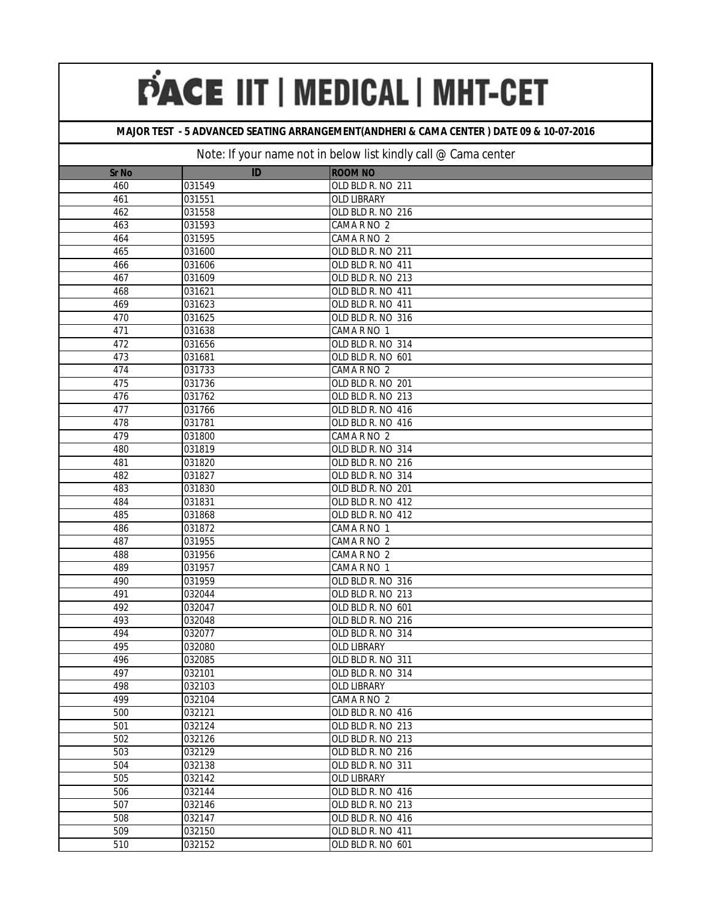## **MAJOR TEST - 5 ADVANCED SEATING ARRANGEMENT(ANDHERI & CAMA CENTER ) DATE 09 & 10-07-2016**

|                     | ID               | <b>ROOM NO</b>                         |
|---------------------|------------------|----------------------------------------|
| <b>Sr No</b><br>460 |                  |                                        |
|                     | 031549           | OLD BLD R. NO 211                      |
| 461                 | 031551           | OLD LIBRARY                            |
| 462<br>463          | 031558           | OLD BLD R. NO 216                      |
| 464                 | 031593           | CAMA R NO 2                            |
|                     | 031595           | CAMA R NO 2                            |
| 465                 | 031600           | OLD BLD R. NO 211                      |
| 466<br>467          | 031606<br>031609 | OLD BLD R. NO 411<br>OLD BLD R. NO 213 |
|                     |                  |                                        |
| 468<br>469          | 031621<br>031623 | OLD BLD R. NO 411<br>OLD BLD R. NO 411 |
|                     |                  | OLD BLD R. NO 316                      |
| 470                 | 031625           |                                        |
| 471<br>472          | 031638<br>031656 | CAMA R NO 1<br>OLD BLD R. NO 314       |
| 473                 | 031681           |                                        |
| 474                 | 031733           | OLD BLD R. NO 601<br>CAMA R NO 2       |
| 475                 | 031736           |                                        |
| 476                 | 031762           | OLD BLD R. NO 201<br>OLD BLD R. NO 213 |
| 477                 | 031766           | OLD BLD R. NO 416                      |
| 478                 | 031781           | OLD BLD R. NO 416                      |
| 479                 | 031800           | CAMA R NO 2                            |
| 480                 | 031819           | OLD BLD R. NO 314                      |
| 481                 | 031820           | OLD BLD R. NO 216                      |
| 482                 | 031827           | OLD BLD R. NO 314                      |
| 483                 | 031830           | OLD BLD R. NO 201                      |
| 484                 | 031831           | OLD BLD R. NO 412                      |
| 485                 | 031868           | OLD BLD R. NO 412                      |
| 486                 | 031872           | CAMA R NO 1                            |
| 487                 | 031955           | CAMA R NO 2                            |
| 488                 | 031956           | CAMA R NO 2                            |
| 489                 | 031957           | CAMA R NO 1                            |
| 490                 | 031959           | OLD BLD R. NO 316                      |
| 491                 | 032044           | OLD BLD R. NO 213                      |
| 492                 | 032047           | OLD BLD R. NO 601                      |
| 493                 | 032048           | OLD BLD R. NO 216                      |
| 494                 | 032077           | OLD BLD R. NO 314                      |
| 495                 | 032080           | OLD LIBRARY                            |
| 496                 | 032085           | OLD BLD R. NO 311                      |
| 497                 | 032101           | OLD BLD R. NO 314                      |
| 498                 | 032103           | OLD LIBRARY                            |
| 499                 | 032104           | CAMA R NO 2                            |
| 500                 | 032121           | OLD BLD R. NO 416                      |
| 501                 | 032124           | OLD BLD R. NO 213                      |
| 502                 | 032126           | OLD BLD R. NO 213                      |
| 503                 | 032129           | OLD BLD R. NO 216                      |
| 504                 | 032138           | OLD BLD R. NO 311                      |
| 505                 | 032142           | OLD LIBRARY                            |
| 506                 | 032144           | OLD BLD R. NO 416                      |
| 507                 | 032146           | OLD BLD R. NO 213                      |
| 508                 | 032147           | OLD BLD R. NO 416                      |
| 509                 | 032150           | OLD BLD R. NO 411                      |
| 510                 | 032152           | OLD BLD R. NO 601                      |
|                     |                  |                                        |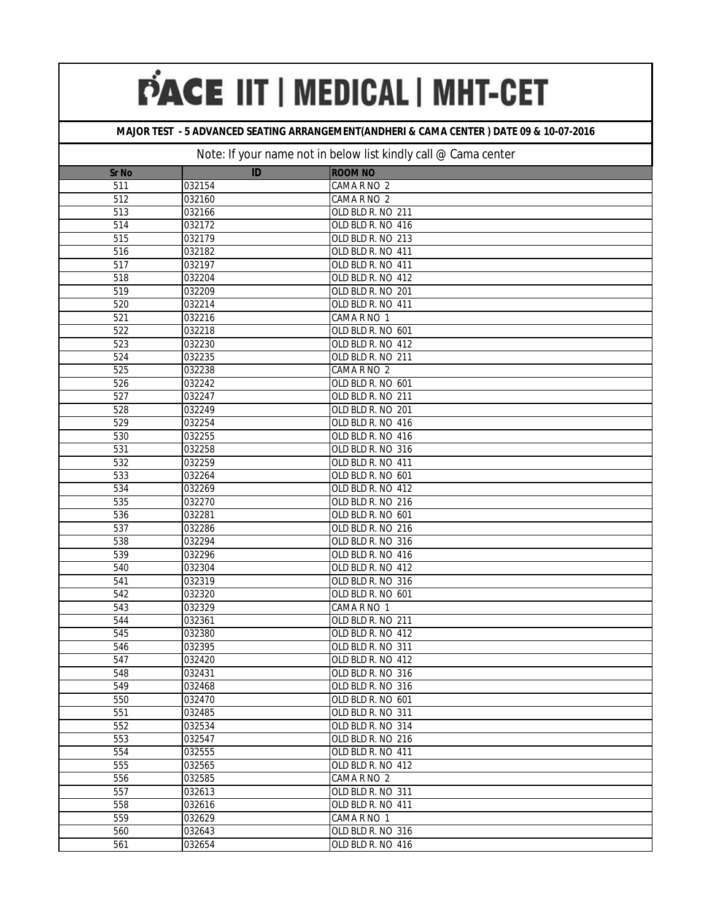## **MAJOR TEST - 5 ADVANCED SEATING ARRANGEMENT(ANDHERI & CAMA CENTER ) DATE 09 & 10-07-2016**

| <b>Sr No</b> | ID     | <b>ROOM NO</b>    |
|--------------|--------|-------------------|
| 511          | 032154 | CAMA R NO 2       |
| 512          | 032160 | CAMA R NO 2       |
| 513          | 032166 | OLD BLD R. NO 211 |
| 514          | 032172 | OLD BLD R. NO 416 |
| 515          | 032179 | OLD BLD R. NO 213 |
| 516          | 032182 | OLD BLD R. NO 411 |
| 517          | 032197 | OLD BLD R. NO 411 |
| 518          | 032204 | OLD BLD R. NO 412 |
| 519          | 032209 | OLD BLD R. NO 201 |
| 520          | 032214 | OLD BLD R. NO 411 |
| 521          | 032216 | CAMA R NO 1       |
| 522          | 032218 | OLD BLD R. NO 601 |
| 523          | 032230 | OLD BLD R. NO 412 |
| 524          | 032235 | OLD BLD R. NO 211 |
| 525          | 032238 | CAMA R NO 2       |
| 526          | 032242 | OLD BLD R. NO 601 |
| 527          | 032247 | OLD BLD R. NO 211 |
| 528          | 032249 | OLD BLD R. NO 201 |
| 529          | 032254 | OLD BLD R. NO 416 |
| 530          | 032255 | OLD BLD R. NO 416 |
| 531          | 032258 | OLD BLD R. NO 316 |
| 532          | 032259 | OLD BLD R. NO 411 |
| 533          | 032264 | OLD BLD R. NO 601 |
| 534          | 032269 | OLD BLD R. NO 412 |
| 535          | 032270 | OLD BLD R. NO 216 |
| 536          | 032281 | OLD BLD R. NO 601 |
| 537          | 032286 | OLD BLD R. NO 216 |
| 538          | 032294 | OLD BLD R. NO 316 |
| 539          | 032296 | OLD BLD R. NO 416 |
| 540          | 032304 | OLD BLD R. NO 412 |
| 541          | 032319 | OLD BLD R. NO 316 |
| 542          | 032320 | OLD BLD R. NO 601 |
| 543          | 032329 | CAMA R NO 1       |
| 544          | 032361 | OLD BLD R. NO 211 |
| 545          | 032380 | OLD BLD R. NO 412 |
| 546          | 032395 | OLD BLD R. NO 311 |
| 547          | 032420 | OLD BLD R. NO 412 |
| 548          | 032431 | OLD BLD R. NO 316 |
| 549          | 032468 | OLD BLD R. NO 316 |
| 550          | 032470 | OLD BLD R. NO 601 |
| 551          | 032485 | OLD BLD R. NO 311 |
| 552          | 032534 | OLD BLD R. NO 314 |
| 553          | 032547 | OLD BLD R. NO 216 |
| 554          | 032555 | OLD BLD R. NO 411 |
| 555          | 032565 | OLD BLD R. NO 412 |
| 556          | 032585 | CAMA R NO 2       |
| 557          | 032613 | OLD BLD R. NO 311 |
| 558          | 032616 | OLD BLD R. NO 411 |
| 559          | 032629 | CAMA R NO 1       |
| 560          | 032643 | OLD BLD R. NO 316 |
| 561          | 032654 | OLD BLD R. NO 416 |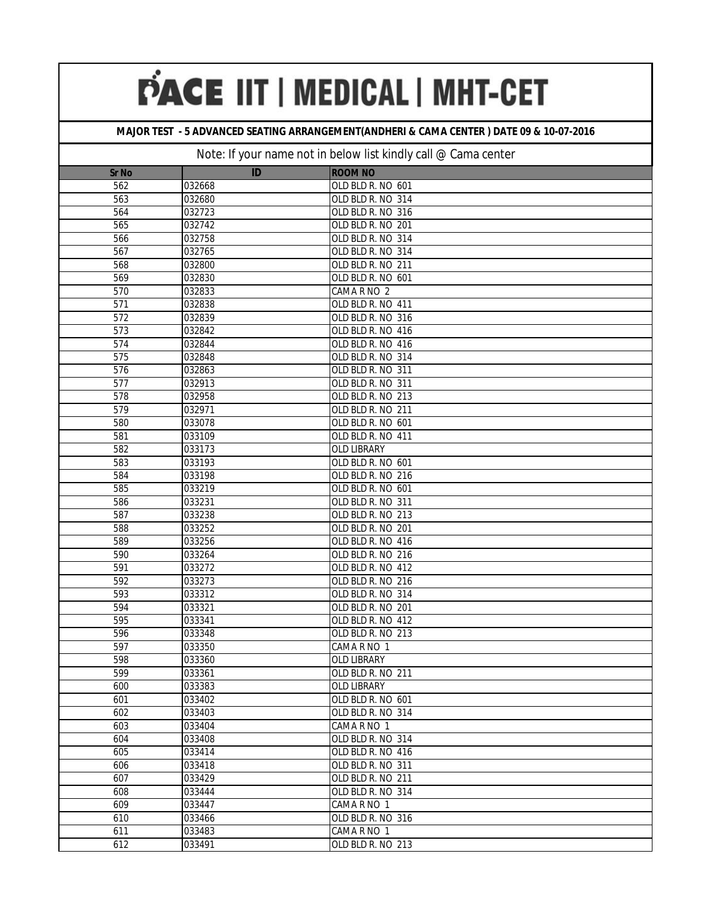## **MAJOR TEST - 5 ADVANCED SEATING ARRANGEMENT(ANDHERI & CAMA CENTER ) DATE 09 & 10-07-2016**

| <b>Sr No</b>     | ID     | <b>ROOM NO</b>    |
|------------------|--------|-------------------|
| 562              | 032668 | OLD BLD R. NO 601 |
| 563              | 032680 | OLD BLD R. NO 314 |
| 564              | 032723 | OLD BLD R. NO 316 |
| 565              | 032742 | OLD BLD R. NO 201 |
| 566              | 032758 | OLD BLD R. NO 314 |
| 567              | 032765 | OLD BLD R. NO 314 |
| 568              | 032800 | OLD BLD R. NO 211 |
| 569              | 032830 | OLD BLD R. NO 601 |
| 570              | 032833 | CAMA R NO 2       |
| 571              | 032838 | OLD BLD R. NO 411 |
| 572              | 032839 | OLD BLD R. NO 316 |
| 573              | 032842 | OLD BLD R. NO 416 |
| 574              | 032844 | OLD BLD R. NO 416 |
| 575              | 032848 | OLD BLD R. NO 314 |
| $\overline{576}$ | 032863 | OLD BLD R. NO 311 |
| 577              | 032913 | OLD BLD R. NO 311 |
| $\overline{578}$ | 032958 | OLD BLD R. NO 213 |
| 579              | 032971 | OLD BLD R. NO 211 |
| 580              | 033078 | OLD BLD R. NO 601 |
| 581              | 033109 | OLD BLD R. NO 411 |
| 582              | 033173 | OLD LIBRARY       |
| 583              | 033193 | OLD BLD R. NO 601 |
| 584              | 033198 | OLD BLD R. NO 216 |
| 585              | 033219 | OLD BLD R. NO 601 |
| 586              | 033231 | OLD BLD R. NO 311 |
| 587              | 033238 | OLD BLD R. NO 213 |
| 588              | 033252 | OLD BLD R. NO 201 |
| 589              | 033256 | OLD BLD R. NO 416 |
| 590              | 033264 | OLD BLD R. NO 216 |
| 591              | 033272 | OLD BLD R. NO 412 |
| 592              | 033273 | OLD BLD R. NO 216 |
| 593              | 033312 | OLD BLD R. NO 314 |
| 594              | 033321 | OLD BLD R. NO 201 |
| 595              | 033341 | OLD BLD R. NO 412 |
| 596              | 033348 | OLD BLD R. NO 213 |
| 597              | 033350 | CAMA R NO 1       |
| 598              | 033360 | OLD LIBRARY       |
| 599              | 033361 | OLD BLD R. NO 211 |
| 600              | 033383 | OLD LIBRARY       |
| 601              | 033402 | OLD BLD R. NO 601 |
| 602              | 033403 | OLD BLD R. NO 314 |
| 603              | 033404 | CAMA R NO 1       |
| 604              | 033408 | OLD BLD R. NO 314 |
| 605              | 033414 | OLD BLD R. NO 416 |
| 606              | 033418 | OLD BLD R. NO 311 |
| 607              | 033429 | OLD BLD R. NO 211 |
| 608              | 033444 | OLD BLD R. NO 314 |
| 609              | 033447 | CAMA R NO 1       |
| 610              | 033466 | OLD BLD R. NO 316 |
| 611              | 033483 | CAMA R NO 1       |
| 612              | 033491 | OLD BLD R. NO 213 |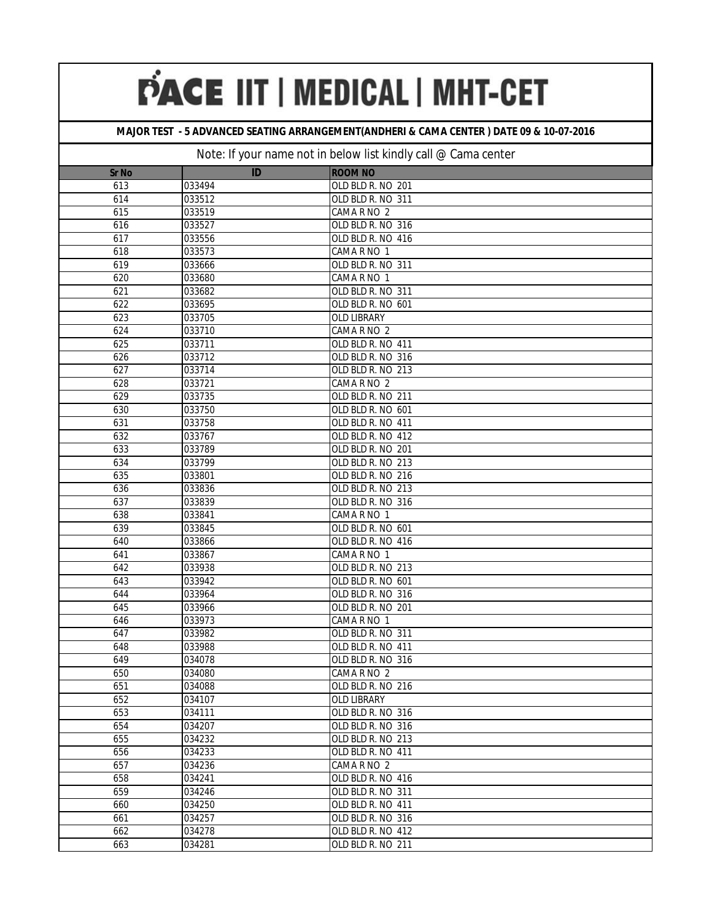## **MAJOR TEST - 5 ADVANCED SEATING ARRANGEMENT(ANDHERI & CAMA CENTER ) DATE 09 & 10-07-2016**

| <b>Sr No</b> | ID     | <b>ROOM NO</b>    |
|--------------|--------|-------------------|
| 613          | 033494 | OLD BLD R. NO 201 |
| 614          | 033512 | OLD BLD R. NO 311 |
| 615          | 033519 | CAMA R NO 2       |
| 616          | 033527 | OLD BLD R. NO 316 |
| 617          | 033556 | OLD BLD R. NO 416 |
| 618          | 033573 | CAMA R NO 1       |
| 619          | 033666 | OLD BLD R. NO 311 |
| 620          | 033680 | CAMA R NO 1       |
| 621          | 033682 | OLD BLD R. NO 311 |
| 622          | 033695 | OLD BLD R. NO 601 |
| 623          | 033705 | OLD LIBRARY       |
| 624          | 033710 | CAMA R NO 2       |
| 625          | 033711 | OLD BLD R. NO 411 |
| 626          | 033712 | OLD BLD R. NO 316 |
| 627          | 033714 | OLD BLD R. NO 213 |
| 628          | 033721 | CAMA R NO 2       |
| 629          | 033735 | OLD BLD R. NO 211 |
| 630          | 033750 | OLD BLD R. NO 601 |
| 631          | 033758 | OLD BLD R. NO 411 |
| 632          | 033767 | OLD BLD R. NO 412 |
| 633          | 033789 | OLD BLD R. NO 201 |
| 634          | 033799 | OLD BLD R. NO 213 |
| 635          | 033801 | OLD BLD R. NO 216 |
| 636          | 033836 | OLD BLD R. NO 213 |
| 637          | 033839 | OLD BLD R. NO 316 |
| 638          | 033841 | CAMA R NO 1       |
| 639          | 033845 | OLD BLD R. NO 601 |
| 640          | 033866 | OLD BLD R. NO 416 |
| 641          | 033867 | CAMA R NO 1       |
| 642          | 033938 | OLD BLD R. NO 213 |
| 643          | 033942 | OLD BLD R. NO 601 |
| 644          | 033964 | OLD BLD R. NO 316 |
| 645          | 033966 | OLD BLD R. NO 201 |
| 646          | 033973 | CAMA R NO 1       |
| 647          | 033982 | OLD BLD R. NO 311 |
| 648          | 033988 | OLD BLD R. NO 411 |
| 649          | 034078 | OLD BLD R. NO 316 |
| 650          | 034080 | CAMA R NO 2       |
| 651          | 034088 | OLD BLD R. NO 216 |
| 652          | 034107 | OLD LIBRARY       |
| 653          | 034111 | OLD BLD R. NO 316 |
| 654          | 034207 | OLD BLD R. NO 316 |
| 655          | 034232 | OLD BLD R. NO 213 |
| 656          | 034233 | OLD BLD R. NO 411 |
| 657          | 034236 | CAMA R NO 2       |
| 658          | 034241 | OLD BLD R. NO 416 |
| 659          | 034246 | OLD BLD R. NO 311 |
| 660          | 034250 | OLD BLD R. NO 411 |
| 661          | 034257 | OLD BLD R. NO 316 |
| 662          | 034278 | OLD BLD R. NO 412 |
| 663          | 034281 | OLD BLD R. NO 211 |
|              |        |                   |